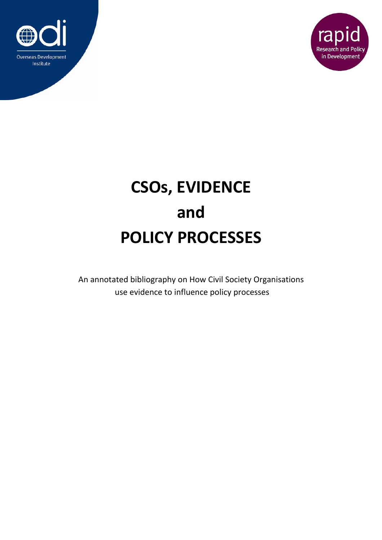



## **CSOs, EVIDENCE and POLICY PROCESSES**

An annotated bibliography on How Civil Society Organisations use evidence to influence policy processes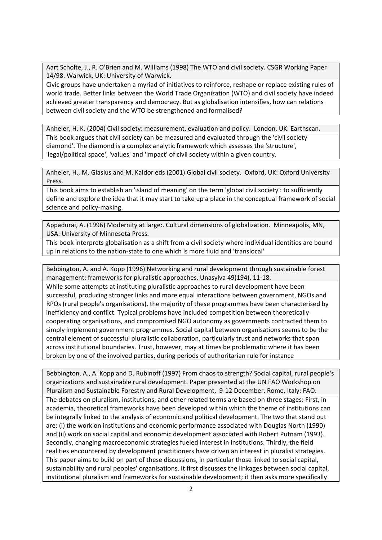Aart Scholte, J., R. O'Brien and M. Williams (1998) The WTO and civil society. CSGR Working Paper 14/98. Warwick, UK: University of Warwick.

Civic groups have undertaken a myriad of initiatives to reinforce, reshape or replace existing rules of world trade. Better links between the World Trade Organization (WTO) and civil society have indeed achieved greater transparency and democracy. But as globalisation intensifies, how can relations between civil society and the WTO be strengthened and formalised?

Anheier, H. K. (2004) Civil society: measurement, evaluation and policy. London, UK: Earthscan. This book argues that civil society can be measured and evaluated through the 'civil society diamond'. The diamond is a complex analytic framework which assesses the 'structure', 'legal/political space', 'values' and 'impact' of civil society within a given country.

Anheier, H., M. Glasius and M. Kaldor eds (2001) Global civil society. Oxford, UK: Oxford University Press.

This book aims to establish an 'island of meaning' on the term 'global civil society': to sufficiently define and explore the idea that it may start to take up a place in the conceptual framework of social science and policy‐making.

Appadurai, A. (1996) Modernity at large:. Cultural dimensions of globalization. Minneapolis, MN, USA: University of Minnesota Press.

This book interprets globalisation as a shift from a civil society where individual identities are bound up in relations to the nation‐state to one which is more fluid and 'translocal'

Bebbington, A. and A. Kopp (1996) Networking and rural development through sustainable forest management: frameworks for pluralistic approaches. Unasylva 49(194), 11‐18.

While some attempts at instituting pluralistic approaches to rural development have been successful, producing stronger links and more equal interactions between government, NGOs and RPOs (rural people's organisations), the majority of these programmes have been characterised by inefficiency and conflict. Typical problems have included competition between theoretically cooperating organisations, and compromised NGO autonomy as governments contracted them to simply implement government programmes. Social capital between organisations seems to be the central element of successful pluralistic collaboration, particularly trust and networks that span across institutional boundaries. Trust, however, may at times be problematic where it has been broken by one of the involved parties, during periods of authoritarian rule for instance

Bebbington, A., A. Kopp and D. Rubinoff (1997) From chaos to strength? Social capital, rural people's organizations and sustainable rural development. Paper presented at the UN FAO Workshop on Pluralism and Sustainable Forestry and Rural Development, 9‐12 December. Rome, Italy: FAO. The debates on pluralism, institutions, and other related terms are based on three stages: First, in academia, theoretical frameworks have been developed within which the theme of institutions can be integrally linked to the analysis of economic and political development. The two that stand out are: (i) the work on institutions and economic performance associated with Douglas North (1990) and (ii) work on social capital and economic development associated with Robert Putnam (1993). Secondly, changing macroeconomic strategies fueled interest in institutions. Thirdly, the field realities encountered by development practitioners have driven an interest in pluralist strategies. This paper aims to build on part of these discussions, in particular those linked to social capital, sustainability and rural peoples' organisations. It first discusses the linkages between social capital, institutional pluralism and frameworks for sustainable development; it then asks more specifically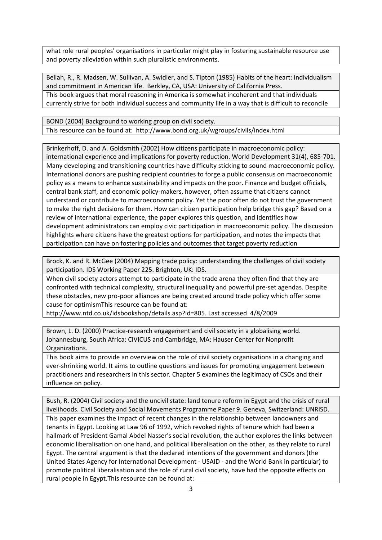what role rural peoples' organisations in particular might play in fostering sustainable resource use and poverty alleviation within such pluralistic environments.

Bellah, R., R. Madsen, W. Sullivan, A. Swidler, and S. Tipton (1985) Habits of the heart: individualism and commitment in American life. Berkley, CA, USA: University of California Press. This book argues that moral reasoning in America is somewhat incoherent and that individuals currently strive for both individual success and community life in a way that is difficult to reconcile

BOND (2004) Background to working group on civil society. This resource can be found at: http://www.bond.org.uk/wgroups/civils/index.html

Brinkerhoff, D. and A. Goldsmith (2002) How citizens participate in macroeconomic policy: international experience and implications for poverty reduction. World Development 31(4), 685‐701. Many developing and transitioning countries have difficulty sticking to sound macroeconomic policy. International donors are pushing recipient countries to forge a public consensus on macroeconomic policy as a means to enhance sustainability and impacts on the poor. Finance and budget officials, central bank staff, and economic policy‐makers, however, often assume that citizens cannot understand or contribute to macroeconomic policy. Yet the poor often do not trust the government to make the right decisions for them. How can citizen participation help bridge this gap? Based on a review of international experience, the paper explores this question, and identifies how development administrators can employ civic participation in macroeconomic policy. The discussion highlights where citizens have the greatest options for participation, and notes the impacts that participation can have on fostering policies and outcomes that target poverty reduction

Brock, K. and R. McGee (2004) Mapping trade policy: understanding the challenges of civil society participation. IDS Working Paper 225. Brighton, UK: IDS.

When civil society actors attempt to participate in the trade arena they often find that they are confronted with technical complexity, structural inequality and powerful pre‐set agendas. Despite these obstacles, new pro‐poor alliances are being created around trade policy which offer some cause for optimismThis resource can be found at:

http://www.ntd.co.uk/idsbookshop/details.asp?id=805. Last accessed 4/8/2009

Brown, L. D. (2000) Practice-research engagement and civil society in a globalising world. Johannesburg, South Africa: CIVICUS and Cambridge, MA: Hauser Center for Nonprofit Organizations.

This book aims to provide an overview on the role of civil society organisations in a changing and ever-shrinking world. It aims to outline questions and issues for promoting engagement between practitioners and researchers in this sector. Chapter 5 examines the legitimacy of CSOs and their influence on policy.

Bush, R. (2004) Civil society and the uncivil state: land tenure reform in Egypt and the crisis of rural livelihoods. Civil Society and Social Movements Programme Paper 9. Geneva, Switzerland: UNRISD.

This paper examines the impact of recent changes in the relationship between landowners and tenants in Egypt. Looking at Law 96 of 1992, which revoked rights of tenure which had been a hallmark of President Gamal Abdel Nasser's social revolution, the author explores the links between economic liberalisation on one hand, and political liberalisation on the other, as they relate to rural Egypt. The central argument is that the declared intentions of the government and donors (the United States Agency for International Development ‐ USAID ‐ and the World Bank in particular) to promote political liberalisation and the role of rural civil society, have had the opposite effects on rural people in Egypt.This resource can be found at: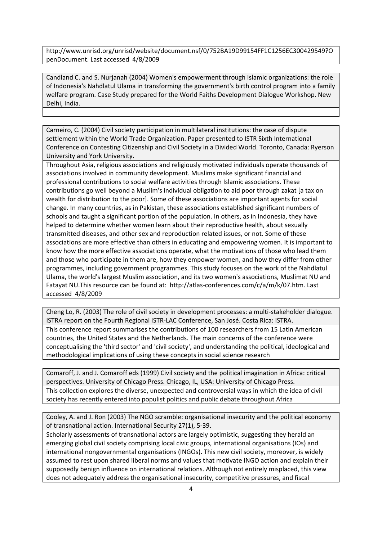http://www.unrisd.org/unrisd/website/document.nsf/0/752BA19D99154FF1C1256EC300429549?O penDocument. Last accessed 4/8/2009

Candland C. and S. Nurjanah (2004) Women's empowerment through Islamic organizations: the role of Indonesia's Nahdlatul Ulama in transforming the government's birth control program into a family welfare program. Case Study prepared for the World Faiths Development Dialogue Workshop. New Delhi, India.

Carneiro, C. (2004) Civil society participation in multilateral institutions: the case of dispute settlement within the World Trade Organization. Paper presented to ISTR Sixth International Conference on Contesting Citizenship and Civil Society in a Divided World. Toronto, Canada: Ryerson University and York University.

Throughout Asia, religious associations and religiously motivated individuals operate thousands of associations involved in community development. Muslims make significant financial and professional contributions to social welfare activities through Islamic associations. These contributions go well beyond a Muslim's individual obligation to aid poor through zakat [a tax on wealth for distribution to the poor]. Some of these associations are important agents for social change. In many countries, as in Pakistan, these associations established significant numbers of schools and taught a significant portion of the population. In others, as in Indonesia, they have helped to determine whether women learn about their reproductive health, about sexually transmitted diseases, and other sex and reproduction related issues, or not. Some of these associations are more effective than others in educating and empowering women. It is important to know how the more effective associations operate, what the motivations of those who lead them and those who participate in them are, how they empower women, and how they differ from other programmes, including government programmes. This study focuses on the work of the Nahdlatul Ulama, the world's largest Muslim association, and its two women's associations, Muslimat NU and Fatayat NU.This resource can be found at: http://atlas‐conferences.com/c/a/m/k/07.htm. Last accessed 4/8/2009

Cheng Lo, R. (2003) The role of civil society in development processes: a multi‐stakeholder dialogue. ISTRA report on the Fourth Regional ISTR‐LAC Conference, San José. Costa Rica: ISTRA. This conference report summarises the contributions of 100 researchers from 15 Latin American countries, the United States and the Netherlands. The main concerns of the conference were conceptualising the 'third sector' and 'civil society', and understanding the political, ideological and methodological implications of using these concepts in social science research

Comaroff, J. and J. Comaroff eds (1999) Civil society and the political imagination in Africa: critical perspectives. University of Chicago Press. Chicago, IL, USA: University of Chicago Press. This collection explores the diverse, unexpected and controversial ways in which the idea of civil society has recently entered into populist politics and public debate throughout Africa

Cooley, A. and J. Ron (2003) The NGO scramble: organisational insecurity and the political economy of transnational action. International Security 27(1), 5‐39.

Scholarly assessments of transnational actors are largely optimistic, suggesting they herald an emerging global civil society comprising local civic groups, international organisations (IOs) and international nongovernmental organisations (INGOs). This new civil society, moreover, is widely assumed to rest upon shared liberal norms and values that motivate INGO action and explain their supposedly benign influence on international relations. Although not entirely misplaced, this view does not adequately address the organisational insecurity, competitive pressures, and fiscal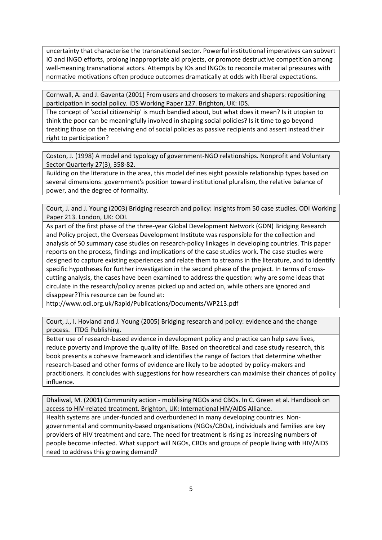uncertainty that characterise the transnational sector. Powerful institutional imperatives can subvert IO and INGO efforts, prolong inappropriate aid projects, or promote destructive competition among well-meaning transnational actors. Attempts by IOs and INGOs to reconcile material pressures with normative motivations often produce outcomes dramatically at odds with liberal expectations.

Cornwall, A. and J. Gaventa (2001) From users and choosers to makers and shapers: repositioning participation in social policy. IDS Working Paper 127. Brighton, UK: IDS.

The concept of 'social citizenship' is much bandied about, but what does it mean? Is it utopian to think the poor can be meaningfully involved in shaping social policies? Is it time to go beyond treating those on the receiving end of social policies as passive recipients and assert instead their right to participation?

Coston, J. (1998) A model and typology of government‐NGO relationships. Nonprofit and Voluntary Sector Quarterly 27(3), 358‐82.

Building on the literature in the area, this model defines eight possible relationship types based on several dimensions: government's position toward institutional pluralism, the relative balance of power, and the degree of formality.

Court, J. and J. Young (2003) Bridging research and policy: insights from 50 case studies. ODI Working Paper 213. London, UK: ODI.

As part of the first phase of the three‐year Global Development Network (GDN) Bridging Research and Policy project, the Overseas Development Institute was responsible for the collection and analysis of 50 summary case studies on research‐policy linkages in developing countries. This paper reports on the process, findings and implications of the case studies work. The case studies were designed to capture existing experiences and relate them to streams in the literature, and to identify specific hypotheses for further investigation in the second phase of the project. In terms of crosscutting analysis, the cases have been examined to address the question: why are some ideas that circulate in the research/policy arenas picked up and acted on, while others are ignored and disappear?This resource can be found at:

http://www.odi.org.uk/Rapid/Publications/Documents/WP213.pdf

Court, J., I. Hovland and J. Young (2005) Bridging research and policy: evidence and the change process. ITDG Publishing.

Better use of research-based evidence in development policy and practice can help save lives, reduce poverty and improve the quality of life. Based on theoretical and case study research, this book presents a cohesive framework and identifies the range of factors that determine whether research‐based and other forms of evidence are likely to be adopted by policy‐makers and practitioners. It concludes with suggestions for how researchers can maximise their chances of policy influence.

Dhaliwal, M. (2001) Community action ‐ mobilising NGOs and CBOs. In C. Green et al. Handbook on access to HIV‐related treatment. Brighton, UK: International HIV/AIDS Alliance.

Health systems are under-funded and overburdened in many developing countries. Nongovernmental and community‐based organisations (NGOs/CBOs), individuals and families are key providers of HIV treatment and care. The need for treatment is rising as increasing numbers of people become infected. What support will NGOs, CBOs and groups of people living with HIV/AIDS need to address this growing demand?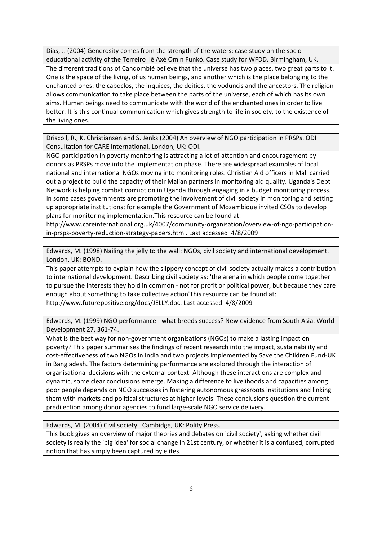Dias, J. (2004) Generosity comes from the strength of the waters: case study on the socio‐ educational activity of the Terreiro Ilê Axé Omin Funkó. Case study for WFDD. Birmingham, UK. The different traditions of Candomblé believe that the universe has two places, two great parts to it. One is the space of the living, of us human beings, and another which is the place belonging to the enchanted ones: the caboclos, the inquices, the deities, the voduncis and the ancestors. The religion allows communication to take place between the parts of the universe, each of which has its own aims. Human beings need to communicate with the world of the enchanted ones in order to live better. It is this continual communication which gives strength to life in society, to the existence of the living ones.

Driscoll, R., K. Christiansen and S. Jenks (2004) An overview of NGO participation in PRSPs. ODI Consultation for CARE International. London, UK: ODI.

NGO participation in poverty monitoring is attracting a lot of attention and encouragement by donors as PRSPs move into the implementation phase. There are widespread examples of local, national and international NGOs moving into monitoring roles. Christian Aid officers in Mali carried out a project to build the capacity of their Malian partners in monitoring aid quality. Uganda's Debt Network is helping combat corruption in Uganda through engaging in a budget monitoring process. In some cases governments are promoting the involvement of civil society in monitoring and setting up appropriate institutions; for example the Government of Mozambique invited CSOs to develop plans for monitoring implementation.This resource can be found at:

http://www.careinternational.org.uk/4007/community‐organisation/overview‐of‐ngo‐participation‐ in‐prsps‐poverty‐reduction‐strategy‐papers.html. Last accessed 4/8/2009

Edwards, M. (1998) Nailing the jelly to the wall: NGOs, civil society and international development. London, UK: BOND.

This paper attempts to explain how the slippery concept of civil society actually makes a contribution to international development. Describing civil society as: 'the arena in which people come together to pursue the interests they hold in common ‐ not for profit or political power, but because they care enough about something to take collective action'This resource can be found at: http://www.futurepositive.org/docs/JELLY.doc. Last accessed 4/8/2009

Edwards, M. (1999) NGO performance ‐ what breeds success? New evidence from South Asia. World Development 27, 361‐74.

What is the best way for non-government organisations (NGOs) to make a lasting impact on poverty? This paper summarises the findings of recent research into the impact, sustainability and cost-effectiveness of two NGOs in India and two projects implemented by Save the Children Fund-UK in Bangladesh. The factors determining performance are explored through the interaction of organisational decisions with the external context. Although these interactions are complex and dynamic, some clear conclusions emerge. Making a difference to livelihoods and capacities among poor people depends on NGO successes in fostering autonomous grassroots institutions and linking them with markets and political structures at higher levels. These conclusions question the current predilection among donor agencies to fund large‐scale NGO service delivery.

Edwards, M. (2004) Civil society. Cambidge, UK: Polity Press.

This book gives an overview of major theories and debates on 'civil society', asking whether civil society is really the 'big idea' for social change in 21st century, or whether it is a confused, corrupted notion that has simply been captured by elites.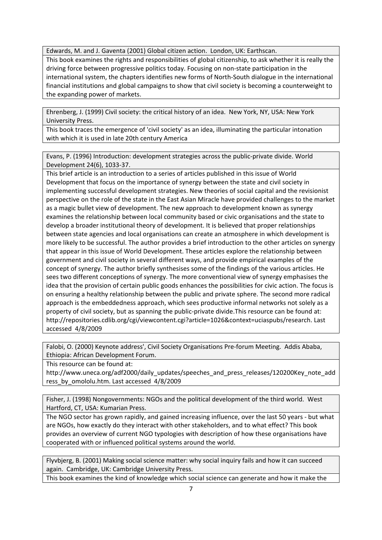Edwards, M. and J. Gaventa (2001) Global citizen action. London, UK: Earthscan.

This book examines the rights and responsibilities of global citizenship, to ask whether it is really the driving force between progressive politics today. Focusing on non‐state participation in the international system, the chapters identifies new forms of North‐South dialogue in the international financial institutions and global campaigns to show that civil society is becoming a counterweight to the expanding power of markets.

Ehrenberg, J. (1999) Civil society: the critical history of an idea. New York, NY, USA: New York University Press.

This book traces the emergence of 'civil society' as an idea, illuminating the particular intonation with which it is used in late 20th century America

Evans, P. (1996) Introduction: development strategies across the public‐private divide. World Development 24(6), 1033‐37.

This brief article is an introduction to a series of articles published in this issue of World Development that focus on the importance of synergy between the state and civil society in implementing successful development strategies. New theories of social capital and the revisionist perspective on the role of the state in the East Asian Miracle have provided challenges to the market as a magic bullet view of development. The new approach to development known as synergy examines the relationship between local community based or civic organisations and the state to develop a broader institutional theory of development. It is believed that proper relationships between state agencies and local organisations can create an atmosphere in which development is more likely to be successful. The author provides a brief introduction to the other articles on synergy that appear in this issue of World Development. These articles explore the relationship between government and civil society in several different ways, and provide empirical examples of the concept of synergy. The author briefly synthesises some of the findings of the various articles. He sees two different conceptions of synergy. The more conventional view of synergy emphasises the idea that the provision of certain public goods enhances the possibilities for civic action. The focus is on ensuring a healthy relationship between the public and private sphere. The second more radical approach is the embeddedness approach, which sees productive informal networks not solely as a property of civil society, but as spanning the public-private divide. This resource can be found at: http://repositories.cdlib.org/cgi/viewcontent.cgi?article=1026&context=uciaspubs/research. Last accessed 4/8/2009

Falobi, O. (2000) Keynote address', Civil Society Organisations Pre‐forum Meeting. Addis Ababa, Ethiopia: African Development Forum.

This resource can be found at:

http://www.uneca.org/adf2000/daily\_updates/speeches\_and\_press\_releases/120200Key\_note\_add ress by omololu.htm. Last accessed 4/8/2009

Fisher, J. (1998) Nongovernments: NGOs and the political development of the third world. West Hartford, CT, USA: Kumarian Press.

The NGO sector has grown rapidly, and gained increasing influence, over the last 50 years ‐ but what are NGOs, how exactly do they interact with other stakeholders, and to what effect? This book provides an overview of current NGO typologies with description of how these organisations have cooperated with or influenced political systems around the world.

Flyvbjerg, B. (2001) Making social science matter: why social inquiry fails and how it can succeed again. Cambridge, UK: Cambridge University Press.

This book examines the kind of knowledge which social science can generate and how it make the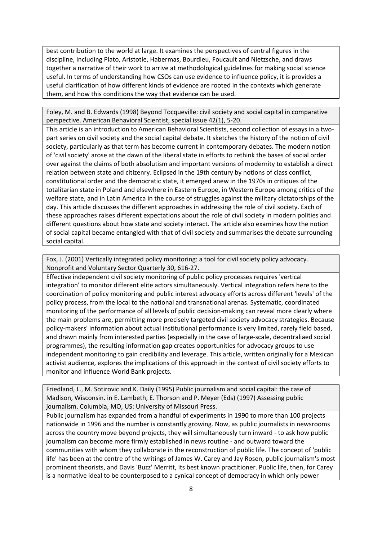best contribution to the world at large. It examines the perspectives of central figures in the discipline, including Plato, Aristotle, Habermas, Bourdieu, Foucault and Nietzsche, and draws together a narrative of their work to arrive at methodological guidelines for making social science useful. In terms of understanding how CSOs can use evidence to influence policy, it is provides a useful clarification of how different kinds of evidence are rooted in the contexts which generate them, and how this conditions the way that evidence can be used.

Foley, M. and B. Edwards (1998) Beyond Tocqueville: civil society and social capital in comparative perspective. American Behavioral Scientist, special issue 42(1), 5‐20.

This article is an introduction to American Behavioral Scientists, second collection of essays in a two‐ part series on civil society and the social capital debate. It sketches the history of the notion of civil society, particularly as that term has become current in contemporary debates. The modern notion of 'civil society' arose at the dawn of the liberal state in efforts to rethink the bases of social order over against the claims of both absolutism and important versions of modernity to establish a direct relation between state and citizenry. Eclipsed in the 19th century by notions of class conflict, constitutional order and the democratic state, it emerged anew in the 1970s in critiques of the totalitarian state in Poland and elsewhere in Eastern Europe, in Western Europe among critics of the welfare state, and in Latin America in the course of struggles against the military dictatorships of the day. This article discusses the different approaches in addressing the role of civil society. Each of these approaches raises different expectations about the role of civil society in modern polities and different questions about how state and society interact. The article also examines how the notion of social capital became entangled with that of civil society and summarises the debate surrounding social capital.

Fox, J. (2001) Vertically integrated policy monitoring: a tool for civil society policy advocacy. Nonprofit and Voluntary Sector Quarterly 30, 616‐27.

Effective independent civil society monitoring of public policy processes requires 'vertical integration' to monitor different elite actors simultaneously. Vertical integration refers here to the coordination of policy monitoring and public interest advocacy efforts across different 'levels' of the policy process, from the local to the national and transnational arenas. Systematic, coordinated monitoring of the performance of all levels of public decision-making can reveal more clearly where the main problems are, permitting more precisely targeted civil society advocacy strategies. Because policy‐makers' information about actual institutional performance is very limited, rarely field based, and drawn mainly from interested parties (especially in the case of large-scale, decentraliaed social programmes), the resulting information gap creates opportunities for advocacy groups to use independent monitoring to gain credibility and leverage. This article, written originally for a Mexican activist audience, explores the implications of this approach in the context of civil society efforts to monitor and influence World Bank projects.

Friedland, L., M. Sotirovic and K. Daily (1995) Public journalism and social capital: the case of Madison, Wisconsin. in E. Lambeth, E. Thorson and P. Meyer (Eds) (1997) Assessing public journalism. Columbia, MO, US: University of Missouri Press.

Public journalism has expanded from a handful of experiments in 1990 to more than 100 projects nationwide in 1996 and the number is constantly growing. Now, as public journalists in newsrooms across the country move beyond projects, they will simultaneously turn inward ‐ to ask how public journalism can become more firmly established in news routine ‐ and outward toward the communities with whom they collaborate in the reconstruction of public life. The concept of 'public life' has been at the centre of the writings of James W. Carey and Jay Rosen, public journalism's most prominent theorists, and Davis 'Buzz' Merritt, its best known practitioner. Public life, then, for Carey is a normative ideal to be counterposed to a cynical concept of democracy in which only power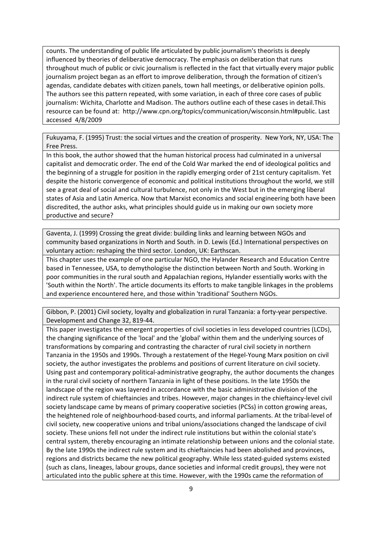counts. The understanding of public life articulated by public journalism's theorists is deeply influenced by theories of deliberative democracy. The emphasis on deliberation that runs throughout much of public or civic journalism is reflected in the fact that virtually every major public journalism project began as an effort to improve deliberation, through the formation of citizen's agendas, candidate debates with citizen panels, town hall meetings, or deliberative opinion polls. The authors see this pattern repeated, with some variation, in each of three core cases of public journalism: Wichita, Charlotte and Madison. The authors outline each of these cases in detail.This resource can be found at: http://www.cpn.org/topics/communication/wisconsin.html#public. Last accessed 4/8/2009

Fukuyama, F. (1995) Trust: the social virtues and the creation of prosperity. New York, NY, USA: The Free Press.

In this book, the author showed that the human historical process had culminated in a universal capitalist and democratic order. The end of the Cold War marked the end of ideological politics and the beginning of a struggle for position in the rapidly emerging order of 21st century capitalism. Yet despite the historic convergence of economic and political institutions throughout the world, we still see a great deal of social and cultural turbulence, not only in the West but in the emerging liberal states of Asia and Latin America. Now that Marxist economics and social engineering both have been discredited, the author asks, what principles should guide us in making our own society more productive and secure?

Gaventa, J. (1999) Crossing the great divide: building links and learning between NGOs and community based organizations in North and South. in D. Lewis (Ed.) International perspectives on voluntary action: reshaping the third sector. London, UK: Earthscan.

This chapter uses the example of one particular NGO, the Hylander Research and Education Centre based in Tennessee, USA, to demythologise the distinction between North and South. Working in poor communities in the rural south and Appalachian regions, Hylander essentially works with the 'South within the North'. The article documents its efforts to make tangible linkages in the problems and experience encountered here, and those within 'traditional' Southern NGOs.

Gibbon, P. (2001) Civil society, loyalty and globalization in rural Tanzania: a forty‐year perspective. Development and Change 32, 819‐44.

This paper investigates the emergent properties of civil societies in less developed countries (LCDs), the changing significance of the 'local' and the 'global' within them and the underlying sources of transformations by comparing and contrasting the character of rural civil society in northern Tanzania in the 1950s and 1990s. Through a restatement of the Hegel‐Young Marx position on civil society, the author investigates the problems and positions of current literature on civil society. Using past and contemporary political‐administrative geography, the author documents the changes in the rural civil society of northern Tanzania in light of these positions. In the late 1950s the landscape of the region was layered in accordance with the basic administrative division of the indirect rule system of chieftaincies and tribes. However, major changes in the chieftaincy-level civil society landscape came by means of primary cooperative societies (PCSs) in cotton growing areas, the heightened role of neighbourhood‐based courts, and informal parliaments. At the tribal‐level of civil society, new cooperative unions and tribal unions/associations changed the landscape of civil society. These unions fell not under the indirect rule institutions but within the colonial state's central system, thereby encouraging an intimate relationship between unions and the colonial state. By the late 1990s the indirect rule system and its chieftaincies had been abolished and provinces, regions and districts became the new political geography. While less stated‐guided systems existed (such as clans, lineages, labour groups, dance societies and informal credit groups), they were not articulated into the public sphere at this time. However, with the 1990s came the reformation of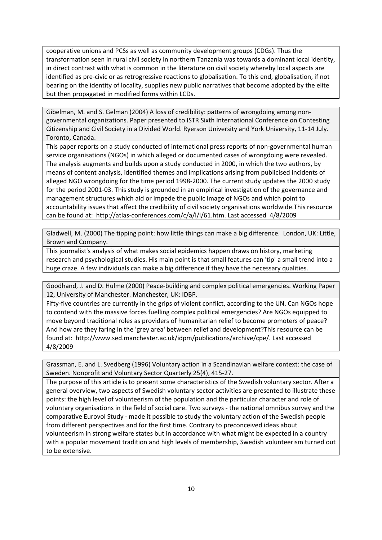cooperative unions and PCSs as well as community development groups (CDGs). Thus the transformation seen in rural civil society in northern Tanzania was towards a dominant local identity, in direct contrast with what is common in the literature on civil society whereby local aspects are identified as pre‐civic or as retrogressive reactions to globalisation. To this end, globalisation, if not bearing on the identity of locality, supplies new public narratives that become adopted by the elite but then propagated in modified forms within LCDs.

Gibelman, M. and S. Gelman (2004) A loss of credibility: patterns of wrongdoing among non‐ governmental organizations. Paper presented to ISTR Sixth International Conference on Contesting Citizenship and Civil Society in a Divided World. Ryerson University and York University, 11‐14 July. Toronto, Canada.

This paper reports on a study conducted of international press reports of non‐governmental human service organisations (NGOs) in which alleged or documented cases of wrongdoing were revealed. The analysis augments and builds upon a study conducted in 2000, in which the two authors, by means of content analysis, identified themes and implications arising from publicised incidents of alleged NGO wrongdoing for the time period 1998‐2000. The current study updates the 2000 study for the period 2001‐03. This study is grounded in an empirical investigation of the governance and management structures which aid or impede the public image of NGOs and which point to accountability issues that affect the credibility of civil society organisations worldwide.This resource can be found at: http://atlas‐conferences.com/c/a/l/l/61.htm. Last accessed 4/8/2009

Gladwell, M. (2000) The tipping point: how little things can make a big difference. London, UK: Little, Brown and Company.

This journalist's analysis of what makes social epidemics happen draws on history, marketing research and psychological studies. His main point is that small features can 'tip' a small trend into a huge craze. A few individuals can make a big difference if they have the necessary qualities.

Goodhand, J. and D. Hulme (2000) Peace‐building and complex political emergencies. Working Paper 12, University of Manchester. Manchester, UK: IDBP.

Fifty-five countries are currently in the grips of violent conflict, according to the UN. Can NGOs hope to contend with the massive forces fuelling complex political emergencies? Are NGOs equipped to move beyond traditional roles as providers of humanitarian relief to become promoters of peace? And how are they faring in the 'grey area' between relief and development?This resource can be found at: http://www.sed.manchester.ac.uk/idpm/publications/archive/cpe/. Last accessed 4/8/2009

Grassman, E. and L. Svedberg (1996) Voluntary action in a Scandinavian welfare context: the case of Sweden. Nonprofit and Voluntary Sector Quarterly 25(4), 415‐27.

The purpose of this article is to present some characteristics of the Swedish voluntary sector. After a general overview, two aspects of Swedish voluntary sector activities are presented to illustrate these points: the high level of volunteerism of the population and the particular character and role of voluntary organisations in the field of social care. Two surveys ‐ the national omnibus survey and the comparative Eurovol Study ‐ made it possible to study the voluntary action of the Swedish people from different perspectives and for the first time. Contrary to preconceived ideas about volunteerism in strong welfare states but in accordance with what might be expected in a country with a popular movement tradition and high levels of membership, Swedish volunteerism turned out to be extensive.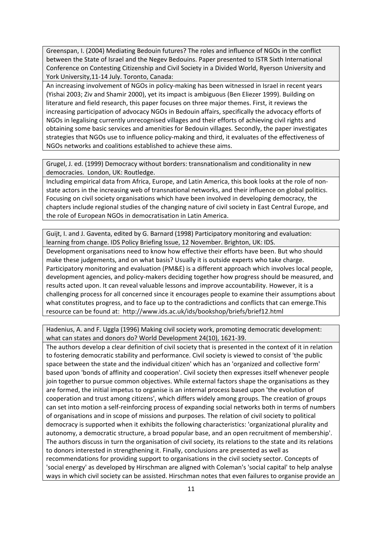Greenspan, I. (2004) Mediating Bedouin futures? The roles and influence of NGOs in the conflict between the State of Israel and the Negev Bedouins. Paper presented to ISTR Sixth International Conference on Contesting Citizenship and Civil Society in a Divided World, Ryerson University and York University,11‐14 July. Toronto, Canada:

An increasing involvement of NGOs in policy-making has been witnessed in Israel in recent years (Yishai 2003; Ziv and Shamir 2000), yet its impact is ambiguous (Ben Eliezer 1999). Building on literature and field research, this paper focuses on three major themes. First, it reviews the increasing participation of advocacy NGOs in Bedouin affairs, specifically the advocacy efforts of NGOs in legalising currently unrecognised villages and their efforts of achieving civil rights and obtaining some basic services and amenities for Bedouin villages. Secondly, the paper investigates strategies that NGOs use to influence policy-making and third, it evaluates of the effectiveness of NGOs networks and coalitions established to achieve these aims.

Grugel, J. ed. (1999) Democracy without borders: transnationalism and conditionality in new democracies. London, UK: Routledge.

Including empirical data from Africa, Europe, and Latin America, this book looks at the role of non‐ state actors in the increasing web of transnational networks, and their influence on global politics. Focusing on civil society organisations which have been involved in developing democracy, the chapters include regional studies of the changing nature of civil society in East Central Europe, and the role of European NGOs in democratisation in Latin America.

Guijt, I. and J. Gaventa, edited by G. Barnard (1998) Participatory monitoring and evaluation: learning from change. IDS Policy Briefing Issue, 12 November. Brighton, UK: IDS.

Development organisations need to know how effective their efforts have been. But who should make these judgements, and on what basis? Usually it is outside experts who take charge. Participatory monitoring and evaluation (PM&E) is a different approach which involves local people, development agencies, and policy‐makers deciding together how progress should be measured, and results acted upon. It can reveal valuable lessons and improve accountability. However, it is a challenging process for all concerned since it encourages people to examine their assumptions about what constitutes progress, and to face up to the contradictions and conflicts that can emerge.This resource can be found at: http://www.ids.ac.uk/ids/bookshop/briefs/brief12.html

Hadenius, A. and F. Uggla (1996) Making civil society work, promoting democratic development: what can states and donors do? World Development 24(10), 1621‐39.

The authors develop a clear definition of civil society that is presented in the context of it in relation to fostering democratic stability and performance. Civil society is viewed to consist of 'the public space between the state and the individual citizen' which has an 'organized and collective form' based upon 'bonds of affinity and cooperation'. Civil society then expresses itself whenever people join together to pursue common objectives. While external factors shape the organisations as they are formed, the initial impetus to organise is an internal process based upon 'the evolution of cooperation and trust among citizens', which differs widely among groups. The creation of groups can set into motion a self-reinforcing process of expanding social networks both in terms of numbers of organisations and in scope of missions and purposes. The relation of civil society to political democracy is supported when it exhibits the following characteristics: 'organizational plurality and autonomy, a democratic structure, a broad popular base, and an open recruitment of membership'. The authors discuss in turn the organisation of civil society, its relations to the state and its relations to donors interested in strengthening it. Finally, conclusions are presented as well as recommendations for providing support to organisations in the civil society sector. Concepts of 'social energy' as developed by Hirschman are aligned with Coleman's 'social capital' to help analyse ways in which civil society can be assisted. Hirschman notes that even failures to organise provide an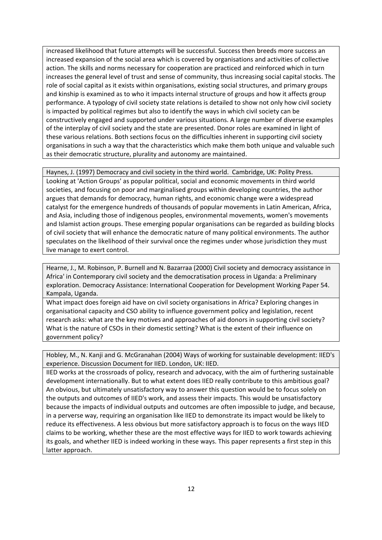increased likelihood that future attempts will be successful. Success then breeds more success an increased expansion of the social area which is covered by organisations and activities of collective action. The skills and norms necessary for cooperation are practiced and reinforced which in turn increases the general level of trust and sense of community, thus increasing social capital stocks. The role of social capital as it exists within organisations, existing social structures, and primary groups and kinship is examined as to who it impacts internal structure of groups and how it affects group performance. A typology of civil society state relations is detailed to show not only how civil society is impacted by political regimes but also to identify the ways in which civil society can be constructively engaged and supported under various situations. A large number of diverse examples of the interplay of civil society and the state are presented. Donor roles are examined in light of these various relations. Both sections focus on the difficulties inherent in supporting civil society organisations in such a way that the characteristics which make them both unique and valuable such as their democratic structure, plurality and autonomy are maintained.

Haynes, J. (1997) Democracy and civil society in the third world. Cambridge, UK: Polity Press. Looking at 'Action Groups' as popular political, social and economic movements in third world societies, and focusing on poor and marginalised groups within developing countries, the author argues that demands for democracy, human rights, and economic change were a widespread catalyst for the emergence hundreds of thousands of popular movements in Latin American, Africa, and Asia, including those of indigenous peoples, environmental movements, women's movements and Islamist action groups. These emerging popular organisations can be regarded as building blocks of civil society that will enhance the democratic nature of many political environments. The author speculates on the likelihood of their survival once the regimes under whose jurisdiction they must live manage to exert control.

Hearne, J., M. Robinson, P. Burnell and N. Bazarraa (2000) Civil society and democracy assistance in Africa' in Contemporary civil society and the democratisation process in Uganda: a Preliminary exploration. Democracy Assistance: International Cooperation for Development Working Paper 54. Kampala, Uganda.

What impact does foreign aid have on civil society organisations in Africa? Exploring changes in organisational capacity and CSO ability to influence government policy and legislation, recent research asks: what are the key motives and approaches of aid donors in supporting civil society? What is the nature of CSOs in their domestic setting? What is the extent of their influence on government policy?

Hobley, M., N. Kanji and G. McGranahan (2004) Ways of working for sustainable development: IIED's experience. Discussion Document for IIED. London, UK: IIED.

IIED works at the crossroads of policy, research and advocacy, with the aim of furthering sustainable development internationally. But to what extent does IIED really contribute to this ambitious goal? An obvious, but ultimately unsatisfactory way to answer this question would be to focus solely on the outputs and outcomes of IIED's work, and assess their impacts. This would be unsatisfactory because the impacts of individual outputs and outcomes are often impossible to judge, and because, in a perverse way, requiring an organisation like IIED to demonstrate its impact would be likely to reduce its effectiveness. A less obvious but more satisfactory approach is to focus on the ways IIED claims to be working, whether these are the most effective ways for IIED to work towards achieving its goals, and whether IIED is indeed working in these ways. This paper represents a first step in this latter approach.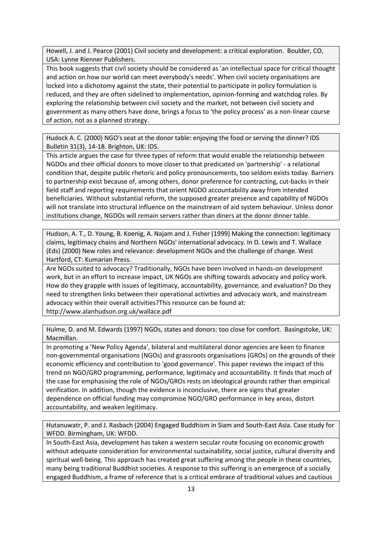Howell, J. and J. Pearce (2001) Civil society and development: a critical exploration. Boulder, CO, USA: Lynne Rienner Publishers.

This book suggests that civil society should be considered as 'an intellectual space for critical thought and action on how our world can meet everybody's needs'. When civil society organisations are locked into a dichotomy against the state, their potential to participate in policy formulation is reduced, and they are often sidelined to implementation, opinion‐forming and watchdog roles. By exploring the relationship between civil society and the market, not between civil society and government as many others have done, brings a focus to 'the policy process' as a non‐linear course of action, not as a planned strategy.

Hudock A. C. (2000) NGO's seat at the donor table: enjoying the food or serving the dinner? IDS Bulletin 31(3), 14‐18. Brighton, UK: IDS.

This article argues the case for three types of reform that would enable the relationship between NGDOs and their official donors to move closer to that predicated on 'partnership' ‐ a relational condition that, despite public rhetoric and policy pronouncements, too seldom exists today. Barriers to partnership exist because of, among others, donor preference for contracting, cut‐backs in their field staff and reporting requirements that orient NGDO accountability away from intended beneficiaries. Without substantial reform, the supposed greater presence and capability of NGDOs will not translate into structural influence on the mainstream of aid system behaviour. Unless donor institutions change, NGDOs will remain servers rather than diners at the donor dinner table.

Hudson, A. T., D. Young, B. Koenig, A. Najam and J. Fisher (1999) Making the connection: legitimacy claims, legitimacy chains and Northern NGOs' international advocacy. In D. Lewis and T. Wallace (Eds) (2000) New roles and relevance: development NGOs and the challenge of change. West Hartford, CT: Kumarian Press.

Are NGOs suited to advocacy? Traditionally, NGOs have been involved in hands‐on development work, but in an effort to increase impact, UK NGOs are shifting towards advocacy and policy work. How do they grapple with issues of legitimacy, accountability, governance, and evaluation? Do they need to strengthen links between their operational activities and advocacy work, and mainstream advocacy within their overall activities?This resource can be found at: http://www.alanhudson.org.uk/wallace.pdf

Hulme, D. and M. Edwards (1997) NGOs, states and donors: too close for comfort. Basingstoke, UK: Macmillan.

In promoting a 'New Policy Agenda', bilateral and multilateral donor agencies are keen to finance non‐governmental organisations (NGOs) and grassroots organisations (GROs) on the grounds of their economic efficiency and contribution to 'good governance'. This paper reviews the impact of this trend on NGO/GRO programming, performance, legitimacy and accountability. It finds that much of the case for emphasising the role of NGOs/GROs rests on ideological grounds rather than empirical verification. In addition, though the evidence is inconclusive, there are signs that greater dependence on official funding may compromise NGO/GRO performance in key areas, distort accountability, and weaken legitimacy.

Hutanuwatr, P. and J. Rasbach (2004) Engaged Buddhism in Siam and South‐East Asia. Case study for WFDD. Birmingham, UK: WFDD.

In South‐East Asia, development has taken a western secular route focusing on economic growth without adequate consideration for environmental sustainability, social justice, cultural diversity and spiritual well-being. This approach has created great suffering among the people in these countries, many being traditional Buddhist societies. A response to this suffering is an emergence of a socially engaged Buddhism, a frame of reference that is a critical embrace of traditional values and cautious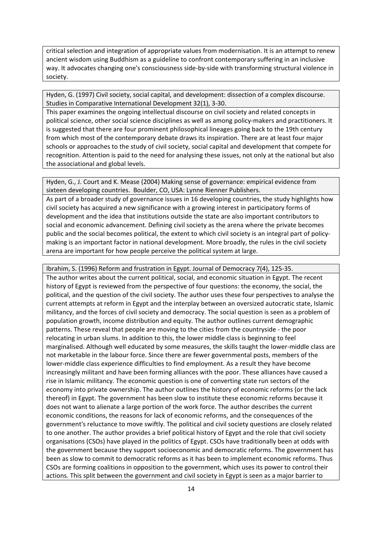critical selection and integration of appropriate values from modernisation. It is an attempt to renew ancient wisdom using Buddhism as a guideline to confront contemporary suffering in an inclusive way. It advocates changing one's consciousness side‐by‐side with transforming structural violence in society.

Hyden, G. (1997) Civil society, social capital, and development: dissection of a complex discourse. Studies in Comparative International Development 32(1), 3‐30.

This paper examines the ongoing intellectual discourse on civil society and related concepts in political science, other social science disciplines as well as among policy‐makers and practitioners. It is suggested that there are four prominent philosophical lineages going back to the 19th century from which most of the contemporary debate draws its inspiration. There are at least four major schools or approaches to the study of civil society, social capital and development that compete for recognition. Attention is paid to the need for analysing these issues, not only at the national but also the associational and global levels.

Hyden, G., J. Court and K. Mease (2004) Making sense of governance: empirical evidence from sixteen developing countries. Boulder, CO, USA: Lynne Rienner Publishers.

As part of a broader study of governance issues in 16 developing countries, the study highlights how civil society has acquired a new significance with a growing interest in participatory forms of development and the idea that institutions outside the state are also important contributors to social and economic advancement. Defining civil society as the arena where the private becomes public and the social becomes political, the extent to which civil society is an integral part of policymaking is an important factor in national development. More broadly, the rules in the civil society arena are important for how people perceive the political system at large.

Ibrahim, S. (1996) Reform and frustration in Egypt. Journal of Democracy 7(4), 125‐35.

The author writes about the current political, social, and economic situation in Egypt. The recent history of Egypt is reviewed from the perspective of four questions: the economy, the social, the political, and the question of the civil society. The author uses these four perspectives to analyse the current attempts at reform in Egypt and the interplay between an oversized autocratic state, Islamic militancy, and the forces of civil society and democracy. The social question is seen as a problem of population growth, income distribution and equity. The author outlines current demographic patterns. These reveal that people are moving to the cities from the countryside ‐ the poor relocating in urban slums. In addition to this, the lower middle class is beginning to feel marginalised. Although well educated by some measures, the skills taught the lower-middle class are not marketable in the labour force. Since there are fewer governmental posts, members of the lower-middle class experience difficulties to find employment. As a result they have become increasingly militant and have been forming alliances with the poor. These alliances have caused a rise in Islamic militancy. The economic question is one of converting state run sectors of the economy into private ownership. The author outlines the history of economic reforms (or the lack thereof) in Egypt. The government has been slow to institute these economic reforms because it does not want to alienate a large portion of the work force. The author describes the current economic conditions, the reasons for lack of economic reforms, and the consequences of the government's reluctance to move swiftly. The political and civil society questions are closely related to one another. The author provides a brief political history of Egypt and the role that civil society organisations (CSOs) have played in the politics of Egypt. CSOs have traditionally been at odds with the government because they support socioeconomic and democratic reforms. The government has been as slow to commit to democratic reforms as it has been to implement economic reforms. Thus CSOs are forming coalitions in opposition to the government, which uses its power to control their actions. This split between the government and civil society in Egypt is seen as a major barrier to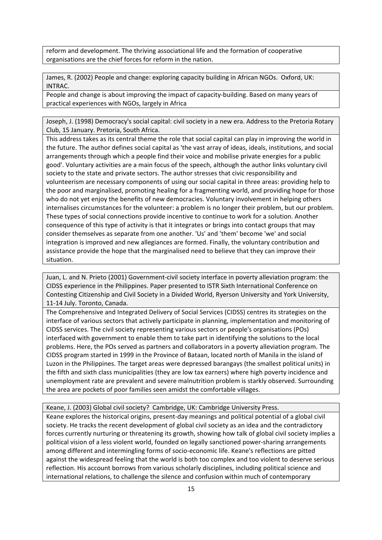reform and development. The thriving associational life and the formation of cooperative organisations are the chief forces for reform in the nation.

James, R. (2002) People and change: exploring capacity building in African NGOs. Oxford, UK: INTRAC.

People and change is about improving the impact of capacity-building. Based on many years of practical experiences with NGOs, largely in Africa

Joseph, J. (1998) Democracy's social capital: civil society in a new era. Address to the Pretoria Rotary Club, 15 January. Pretoria, South Africa.

This address takes as its central theme the role that social capital can play in improving the world in the future. The author defines social capital as 'the vast array of ideas, ideals, institutions, and social arrangements through which a people find their voice and mobilise private energies for a public good'. Voluntary activities are a main focus of the speech, although the author links voluntary civil society to the state and private sectors. The author stresses that civic responsibility and volunteerism are necessary components of using our social capital in three areas: providing help to the poor and marginalised, promoting healing for a fragmenting world, and providing hope for those who do not yet enjoy the benefits of new democracies. Voluntary involvement in helping others internalises circumstances for the volunteer: a problem is no longer their problem, but our problem. These types of social connections provide incentive to continue to work for a solution. Another consequence of this type of activity is that it integrates or brings into contact groups that may consider themselves as separate from one another. 'Us' and 'them' become 'we' and social integration is improved and new allegiances are formed. Finally, the voluntary contribution and assistance provide the hope that the marginalised need to believe that they can improve their situation.

Juan, L. and N. Prieto (2001) Government‐civil society interface in poverty alleviation program: the CIDSS experience in the Philippines. Paper presented to ISTR Sixth International Conference on Contesting Citizenship and Civil Society in a Divided World, Ryerson University and York University, 11‐14 July. Toronto, Canada.

The Comprehensive and Integrated Delivery of Social Services (CIDSS) centres its strategies on the interface of various sectors that actively participate in planning, implementation and monitoring of CIDSS services. The civil society representing various sectors or people's organisations (POs) interfaced with government to enable them to take part in identifying the solutions to the local problems. Here, the POs served as partners and collaborators in a poverty alleviation program. The CIDSS program started in 1999 in the Province of Bataan, located north of Manila in the island of Luzon in the Philippines. The target areas were depressed barangays (the smallest political units) in the fifth and sixth class municipalities (they are low tax earners) where high poverty incidence and unemployment rate are prevalent and severe malnutrition problem is starkly observed. Surrounding the area are pockets of poor families seen amidst the comfortable villages.

Keane, J. (2003) Global civil society? Cambridge, UK: Cambridge University Press.

Keane explores the historical origins, present-day meanings and political potential of a global civil society. He tracks the recent development of global civil society as an idea and the contradictory forces currently nurturing or threatening its growth, showing how talk of global civil society implies a political vision of a less violent world, founded on legally sanctioned power-sharing arrangements among different and intermingling forms of socio‐economic life. Keane's reflections are pitted against the widespread feeling that the world is both too complex and too violent to deserve serious reflection. His account borrows from various scholarly disciplines, including political science and international relations, to challenge the silence and confusion within much of contemporary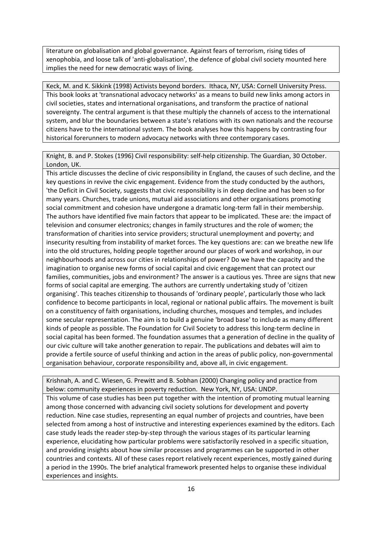literature on globalisation and global governance. Against fears of terrorism, rising tides of xenophobia, and loose talk of 'anti‐globalisation', the defence of global civil society mounted here implies the need for new democratic ways of living.

Keck, M. and K. Sikkink (1998) Activists beyond borders. Ithaca, NY, USA: Cornell University Press. This book looks at 'transnational advocacy networks' as a means to build new links among actors in civil societies, states and international organisations, and transform the practice of national sovereignty. The central argument is that these multiply the channels of access to the international system, and blur the boundaries between a state's relations with its own nationals and the recourse citizens have to the international system. The book analyses how this happens by contrasting four historical forerunners to modern advocacy networks with three contemporary cases.

Knight, B. and P. Stokes (1996) Civil responsibility: self‐help citizenship. The Guardian, 30 October. London, UK.

This article discusses the decline of civic responsibility in England, the causes of such decline, and the key questions in revive the civic engagement. Evidence from the study conducted by the authors, 'the Deficit in Civil Society, suggests that civic responsibility is in deep decline and has been so for many years. Churches, trade unions, mutual aid associations and other organisations promoting social commitment and cohesion have undergone a dramatic long-term fall in their membership. The authors have identified five main factors that appear to be implicated. These are: the impact of television and consumer electronics; changes in family structures and the role of women; the transformation of charities into service providers; structural unemployment and poverty; and insecurity resulting from instability of market forces. The key questions are: can we breathe new life into the old structures, holding people together around our places of work and workshop, in our neighbourhoods and across our cities in relationships of power? Do we have the capacity and the imagination to organise new forms of social capital and civic engagement that can protect our families, communities, jobs and environment? The answer is a cautious yes. Three are signs that new forms of social capital are emerging. The authors are currently undertaking study of 'citizen organising'. This teaches citizenship to thousands of 'ordinary people', particularly those who lack confidence to become participants in local, regional or national public affairs. The movement is built on a constituency of faith organisations, including churches, mosques and temples, and includes some secular representation. The aim is to build a genuine 'broad base' to include as many different kinds of people as possible. The Foundation for Civil Society to address this long-term decline in social capital has been formed. The foundation assumes that a generation of decline in the quality of our civic culture will take another generation to repair. The publications and debates will aim to provide a fertile source of useful thinking and action in the areas of public policy, non‐governmental organisation behaviour, corporate responsibility and, above all, in civic engagement.

Krishnah, A. and C. Wiesen, G. Prewitt and B. Sobhan (2000) Changing policy and practice from below: community experiences in poverty reduction. New York, NY, USA: UNDP. This volume of case studies has been put together with the intention of promoting mutual learning among those concerned with advancing civil society solutions for development and poverty reduction. Nine case studies, representing an equal number of projects and countries, have been selected from among a host of instructive and interesting experiences examined by the editors. Each case study leads the reader step-by-step through the various stages of its particular learning experience, elucidating how particular problems were satisfactorily resolved in a specific situation, and providing insights about how similar processes and programmes can be supported in other countries and contexts. All of these cases report relatively recent experiences, mostly gained during a period in the 1990s. The brief analytical framework presented helps to organise these individual experiences and insights.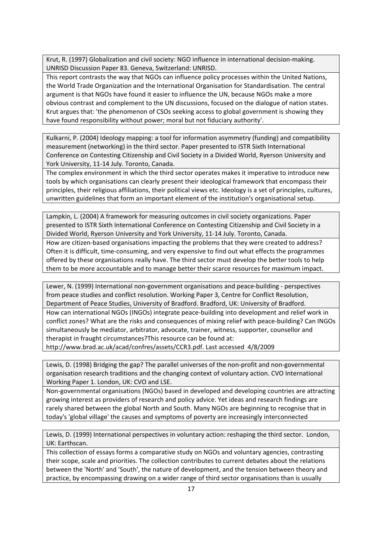Krut, R. (1997) Globalization and civil society: NGO influence in international decision‐making. UNRISD Discussion Paper 83. Geneva, Switzerland: UNRISD.

This report contrasts the way that NGOs can influence policy processes within the United Nations, the World Trade Organization and the International Organisation for Standardisation. The central argument is that NGOs have found it easier to influence the UN, because NGOs make a more obvious contrast and complement to the UN discussions, focused on the dialogue of nation states. Krut argues that: 'the phenomenon of CSOs seeking access to global government is showing they have found responsibility without power; moral but not fiduciary authority'.

Kulkarni, P. (2004) Ideology mapping: a tool for information asymmetry (funding) and compatibility measurement (networking) in the third sector. Paper presented to ISTR Sixth International Conference on Contesting Citizenship and Civil Society in a Divided World, Ryerson University and York University, 11‐14 July. Toronto, Canada.

The complex environment in which the third sector operates makes it imperative to introduce new tools by which organisations can clearly present their ideological framework that encompass their principles, their religious affiliations, their political views etc. Ideology is a set of principles, cultures, unwritten guidelines that form an important element of the institution's organisational setup.

Lampkin, L. (2004) A framework for measuring outcomes in civil society organizations. Paper presented to ISTR Sixth International Conference on Contesting Citizenship and Civil Society in a Divided World, Ryerson University and York University, 11‐14 July. Toronto, Canada. How are citizen‐based organisations impacting the problems that they were created to address?

Often it is difficult, time‐consuming, and very expensive to find out what effects the programmes offered by these organisations really have. The third sector must develop the better tools to help them to be more accountable and to manage better their scarce resources for maximum impact.

Lewer, N. (1999) International non-government organisations and peace-building - perspectives from peace studies and conflict resolution. Working Paper 3, Centre for Conflict Resolution, Department of Peace Studies, University of Bradford. Bradford, UK: University of Bradford. How can international NGOs (INGOs) integrate peace-building into development and relief work in conflict zones? What are the risks and consequences of mixing relief with peace-building? Can INGOs simultaneously be mediator, arbitrator, advocate, trainer, witness, supporter, counsellor and therapist in fraught circumstances?This resource can be found at:

http://www.brad.ac.uk/acad/confres/assets/CCR3.pdf. Last accessed 4/8/2009

Lewis, D. (1998) Bridging the gap? The parallel universes of the non‐profit and non‐governmental organisation research traditions and the changing context of voluntary action. CVO International Working Paper 1. London, UK: CVO and LSE.

Non‐governmental organisations (NGOs) based in developed and developing countries are attracting growing interest as providers of research and policy advice. Yet ideas and research findings are rarely shared between the global North and South. Many NGOs are beginning to recognise that in today's 'global village' the causes and symptoms of poverty are increasingly interconnected

Lewis, D. (1999) International perspectives in voluntary action: reshaping the third sector. London, UK: Earthscan.

This collection of essays forms a comparative study on NGOs and voluntary agencies, contrasting their scope, scale and priorities. The collection contributes to current debates about the relations between the 'North' and 'South', the nature of development, and the tension between theory and practice, by encompassing drawing on a wider range of third sector organisations than is usually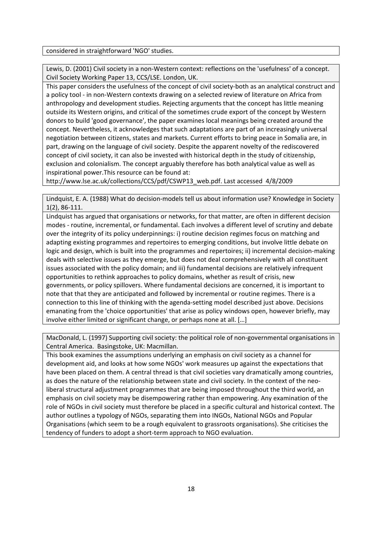considered in straightforward 'NGO' studies.

Lewis, D. (2001) Civil society in a non-Western context: reflections on the 'usefulness' of a concept. Civil Society Working Paper 13, CCS/LSE. London, UK.

This paper considers the usefulness of the concept of civil society-both as an analytical construct and a policy tool ‐ in non‐Western contexts drawing on a selected review of literature on Africa from anthropology and development studies. Rejecting arguments that the concept has little meaning outside its Western origins, and critical of the sometimes crude export of the concept by Western donors to build 'good governance', the paper examines local meanings being created around the concept. Nevertheless, it acknowledges that such adaptations are part of an increasingly universal negotiation between citizens, states and markets. Current efforts to bring peace in Somalia are, in part, drawing on the language of civil society. Despite the apparent novelty of the rediscovered concept of civil society, it can also be invested with historical depth in the study of citizenship, exclusion and colonialism. The concept arguably therefore has both analytical value as well as inspirational power.This resource can be found at:

http://www.lse.ac.uk/collections/CCS/pdf/CSWP13\_web.pdf. Last accessed 4/8/2009

Lindquist, E. A. (1988) What do decision-models tell us about information use? Knowledge in Society 1(2), 86‐111.

Lindquist has argued that organisations or networks, for that matter, are often in different decision modes ‐ routine, incremental, or fundamental. Each involves a different level of scrutiny and debate over the integrity of its policy underpinnings: i) routine decision regimes focus on matching and adapting existing programmes and repertoires to emerging conditions, but involve little debate on logic and design, which is built into the programmes and repertoires; ii) incremental decision‐making deals with selective issues as they emerge, but does not deal comprehensively with all constituent issues associated with the policy domain; and iii) fundamental decisions are relatively infrequent opportunities to rethink approaches to policy domains, whether as result of crisis, new governments, or policy spillovers. Where fundamental decisions are concerned, it is important to note that that they are anticipated and followed by incremental or routine regimes. There is a connection to this line of thinking with the agenda‐setting model described just above. Decisions emanating from the 'choice opportunities' that arise as policy windows open, however briefly, may involve either limited or significant change, or perhaps none at all. […]

MacDonald, L. (1997) Supporting civil society: the political role of non‐governmental organisations in Central America. Basingstoke, UK: Macmillan.

This book examines the assumptions underlying an emphasis on civil society as a channel for development aid, and looks at how some NGOs' work measures up against the expectations that have been placed on them. A central thread is that civil societies vary dramatically among countries, as does the nature of the relationship between state and civil society. In the context of the neoliberal structural adjustment programmes that are being imposed throughout the third world, an emphasis on civil society may be disempowering rather than empowering. Any examination of the role of NGOs in civil society must therefore be placed in a specific cultural and historical context. The author outlines a typology of NGOs, separating them into INGOs, National NGOs and Popular Organisations (which seem to be a rough equivalent to grassroots organisations). She criticises the tendency of funders to adopt a short‐term approach to NGO evaluation.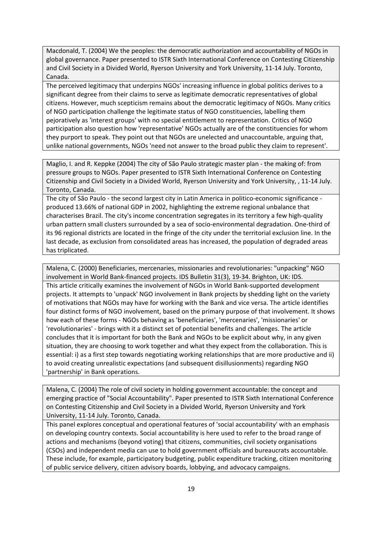Macdonald, T. (2004) We the peoples: the democratic authorization and accountability of NGOs in global governance. Paper presented to ISTR Sixth International Conference on Contesting Citizenship and Civil Society in a Divided World, Ryerson University and York University, 11‐14 July. Toronto, Canada.

The perceived legitimacy that underpins NGOs' increasing influence in global politics derives to a significant degree from their claims to serve as legitimate democratic representatives of global citizens. However, much scepticism remains about the democratic legitimacy of NGOs. Many critics of NGO participation challenge the legitimate status of NGO constituencies, labelling them pejoratively as 'interest groups' with no special entitlement to representation. Critics of NGO participation also question how 'representative' NGOs actually are of the constituencies for whom they purport to speak. They point out that NGOs are unelected and unaccountable, arguing that, unlike national governments, NGOs 'need not answer to the broad public they claim to represent'.

Maglio, I. and R. Keppke (2004) The city of São Paulo strategic master plan ‐ the making of: from pressure groups to NGOs. Paper presented to ISTR Sixth International Conference on Contesting Citizenship and Civil Society in a Divided World, Ryerson University and York University, , 11‐14 July. Toronto, Canada.

The city of São Paulo - the second largest city in Latin America in politico-economic significance produced 13.66% of national GDP in 2002, highlighting the extreme regional unbalance that characterises Brazil. The city's income concentration segregates in its territory a few high‐quality urban pattern small clusters surrounded by a sea of socio‐environmental degradation. One‐third of its 96 regional districts are located in the fringe of the city under the territorial exclusion line. In the last decade, as exclusion from consolidated areas has increased, the population of degraded areas has triplicated.

Malena, C. (2000) Beneficiaries, mercenaries, missionaries and revolutionaries: "unpacking" NGO involvement in World Bank‐financed projects. IDS Bulletin 31(3), 19‐34. Brighton, UK: IDS. This article critically examines the involvement of NGOs in World Bank‐supported development projects. It attempts to 'unpack' NGO involvement in Bank projects by shedding light on the variety of motivations that NGOs may have for working with the Bank and vice versa. The article identifies four distinct forms of NGO involvement, based on the primary purpose of that involvement. It shows how each of these forms ‐ NGOs behaving as 'beneficiaries', 'mercenaries', 'missionaries' or 'revolutionaries' ‐ brings with it a distinct set of potential benefits and challenges. The article concludes that it is important for both the Bank and NGOs to be explicit about why, in any given situation, they are choosing to work together and what they expect from the collaboration. This is essential: i) as a first step towards negotiating working relationships that are more productive and ii) to avoid creating unrealistic expectations (and subsequent disillusionments) regarding NGO 'partnership' in Bank operations.

Malena, C. (2004) The role of civil society in holding government accountable: the concept and emerging practice of "Social Accountability". Paper presented to ISTR Sixth International Conference on Contesting Citizenship and Civil Society in a Divided World, Ryerson University and York University, 11‐14 July. Toronto, Canada.

This panel explores conceptual and operational features of 'social accountability' with an emphasis on developing country contexts. Social accountability is here used to refer to the broad range of actions and mechanisms (beyond voting) that citizens, communities, civil society organisations (CSOs) and independent media can use to hold government officials and bureaucrats accountable. These include, for example, participatory budgeting, public expenditure tracking, citizen monitoring of public service delivery, citizen advisory boards, lobbying, and advocacy campaigns.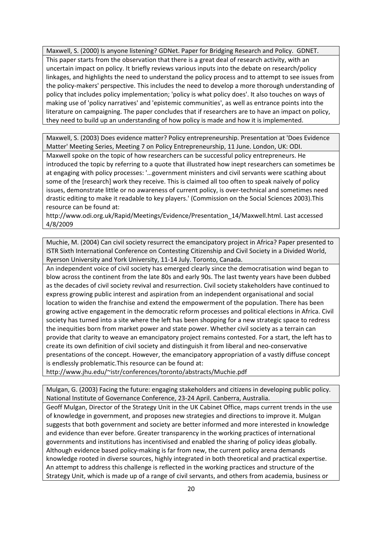Maxwell, S. (2000) Is anyone listening? GDNet. Paper for Bridging Research and Policy. GDNET. This paper starts from the observation that there is a great deal of research activity, with an uncertain impact on policy. It briefly reviews various inputs into the debate on research/policy linkages, and highlights the need to understand the policy process and to attempt to see issues from the policy‐makers' perspective. This includes the need to develop a more thorough understanding of policy that includes policy implementation; 'policy is what policy does'. It also touches on ways of making use of 'policy narratives' and 'epistemic communities', as well as entrance points into the literature on campaigning. The paper concludes that if researchers are to have an impact on policy, they need to build up an understanding of how policy is made and how it is implemented.

Maxwell, S. (2003) Does evidence matter? Policy entrepreneurship. Presentation at 'Does Evidence Matter' Meeting Series, Meeting 7 on Policy Entrepreneurship, 11 June. London, UK: ODI.

Maxwell spoke on the topic of how researchers can be successful policy entrepreneurs. He introduced the topic by referring to a quote that illustrated how inept researchers can sometimes be at engaging with policy processes: '…government ministers and civil servants were scathing about some of the [research] work they receive. This is claimed all too often to speak naively of policy issues, demonstrate little or no awareness of current policy, is over-technical and sometimes need drastic editing to make it readable to key players.' (Commission on the Social Sciences 2003).This resource can be found at:

http://www.odi.org.uk/Rapid/Meetings/Evidence/Presentation\_14/Maxwell.html. Last accessed 4/8/2009

Muchie, M. (2004) Can civil society resurrect the emancipatory project in Africa? Paper presented to ISTR Sixth International Conference on Contesting Citizenship and Civil Society in a Divided World, Ryerson University and York University, 11‐14 July. Toronto, Canada.

An independent voice of civil society has emerged clearly since the democratisation wind began to blow across the continent from the late 80s and early 90s. The last twenty years have been dubbed as the decades of civil society revival and resurrection. Civil society stakeholders have continued to express growing public interest and aspiration from an independent organisational and social location to widen the franchise and extend the empowerment of the population. There has been growing active engagement in the democratic reform processes and political elections in Africa. Civil society has turned into a site where the left has been shopping for a new strategic space to redress the inequities born from market power and state power. Whether civil society as a terrain can provide that clarity to weave an emancipatory project remains contested. For a start, the left has to create its own definition of civil society and distinguish it from liberal and neo‐conservative presentations of the concept. However, the emancipatory appropriation of a vastly diffuse concept is endlessly problematic.This resource can be found at:

http://www.jhu.edu/~istr/conferences/toronto/abstracts/Muchie.pdf

Mulgan, G. (2003) Facing the future: engaging stakeholders and citizens in developing public policy. National Institute of Governance Conference, 23‐24 April. Canberra, Australia.

Geoff Mulgan, Director of the Strategy Unit in the UK Cabinet Office, maps current trends in the use of knowledge in government, and proposes new strategies and directions to improve it. Mulgan suggests that both government and society are better informed and more interested in knowledge and evidence than ever before. Greater transparency in the working practices of international governments and institutions has incentivised and enabled the sharing of policy ideas globally. Although evidence based policy‐making is far from new, the current policy arena demands knowledge rooted in diverse sources, highly integrated in both theoretical and practical expertise. An attempt to address this challenge is reflected in the working practices and structure of the Strategy Unit, which is made up of a range of civil servants, and others from academia, business or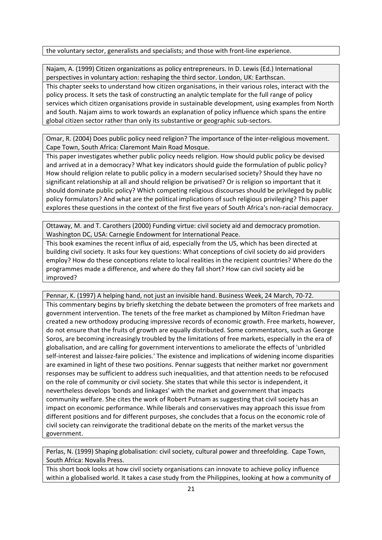the voluntary sector, generalists and specialists; and those with front‐line experience.

Najam, A. (1999) Citizen organizations as policy entrepreneurs. In D. Lewis (Ed.) International perspectives in voluntary action: reshaping the third sector. London, UK: Earthscan. This chapter seeks to understand how citizen organisations, in their various roles, interact with the policy process. It sets the task of constructing an analytic template for the full range of policy services which citizen organisations provide in sustainable development, using examples from North and South. Najam aims to work towards an explanation of policy influence which spans the entire global citizen sector rather than only its substantive or geographic sub‐sectors.

Omar, R. (2004) Does public policy need religion? The importance of the inter‐religious movement. Cape Town, South Africa: Claremont Main Road Mosque.

This paper investigates whether public policy needs religion. How should public policy be devised and arrived at in a democracy? What key indicators should guide the formulation of public policy? How should religion relate to public policy in a modern secularised society? Should they have no significant relationship at all and should religion be privatised? Or is religion so important that it should dominate public policy? Which competing religious discourses should be privileged by public policy formulators? And what are the political implications of such religious privileging? This paper explores these questions in the context of the first five years of South Africa's non-racial democracy.

Ottaway, M. and T. Carothers (2000) Funding virtue: civil society aid and democracy promotion. Washington DC, USA: Carnegie Endowment for International Peace.

This book examines the recent influx of aid, especially from the US, which has been directed at building civil society. It asks four key questions: What conceptions of civil society do aid providers employ? How do these conceptions relate to local realities in the recipient countries? Where do the programmes made a difference, and where do they fall short? How can civil society aid be improved?

Pennar, K. (1997) A helping hand, not just an invisible hand. Business Week, 24 March, 70‐72.

This commentary begins by briefly sketching the debate between the promoters of free markets and government intervention. The tenets of the free market as championed by Milton Friedman have created a new orthodoxy producing impressive records of economic growth. Free markets, however, do not ensure that the fruits of growth are equally distributed. Some commentators, such as George Soros, are becoming increasingly troubled by the limitations of free markets, especially in the era of globalisation, and are calling for government interventions to ameliorate the effects of 'unbridled self-interest and laissez-faire policies.' The existence and implications of widening income disparities are examined in light of these two positions. Pennar suggests that neither market nor government responses may be sufficient to address such inequalities, and that attention needs to be refocused on the role of community or civil society. She states that while this sector is independent, it nevertheless develops 'bonds and linkages' with the market and government that impacts community welfare. She cites the work of Robert Putnam as suggesting that civil society has an impact on economic performance. While liberals and conservatives may approach this issue from different positions and for different purposes, she concludes that a focus on the economic role of civil society can reinvigorate the traditional debate on the merits of the market versus the government.

Perlas, N. (1999) Shaping globalisation: civil society, cultural power and threefolding. Cape Town, South Africa: Novalis Press.

This short book looks at how civil society organisations can innovate to achieve policy influence within a globalised world. It takes a case study from the Philippines, looking at how a community of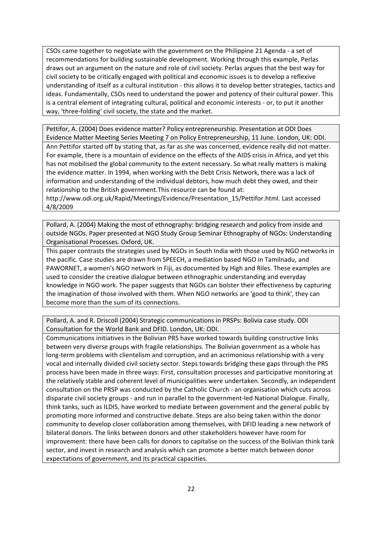CSOs came together to negotiate with the government on the Philippine 21 Agenda ‐ a set of recommendations for building sustainable development. Working through this example, Perlas draws out an argument on the nature and role of civil society. Perlas argues that the best way for civil society to be critically engaged with political and economic issues is to develop a reflexive understanding of itself as a cultural institution ‐ this allows it to develop better strategies, tactics and ideas. Fundamentally, CSOs need to understand the power and potency of their cultural power. This is a central element of integrating cultural, political and economic interests ‐ or, to put it another way, 'three-folding' civil society, the state and the market.

Pettifor, A. (2004) Does evidence matter? Policy entrepreneurship. Presentation at ODI Does Evidence Matter Meeting Series Meeting 7 on Policy Entrepreneurship, 11 June. London, UK: ODI.

Ann Pettifor started off by stating that, as far as she was concerned, evidence really did not matter. For example, there is a mountain of evidence on the effects of the AIDS crisis in Africa, and yet this has not mobilised the global community to the extent necessary. So what really matters is making the evidence matter. In 1994, when working with the Debt Crisis Network, there was a lack of information and understanding of the individual debtors, how much debt they owed, and their relationship to the British government.This resource can be found at:

http://www.odi.org.uk/Rapid/Meetings/Evidence/Presentation\_15/Pettifor.html. Last accessed 4/8/2009

Pollard, A. (2004) Making the most of ethnography: bridging research and policy from inside and outside NGOs. Paper presented at NGO Study Group Seminar Ethnography of NGOs: Understanding Organisational Processes. Oxford, UK.

This paper contrasts the strategies used by NGOs in South India with those used by NGO networks in the pacific. Case studies are drawn from SPEECH, a mediation based NGO in Tamilnadu, and PAWORNET, a women's NGO network in Fiji, as documented by High and Riles. These examples are used to consider the creative dialogue between ethnographic understanding and everyday knowledge in NGO work. The paper suggests that NGOs can bolster their effectiveness by capturing the imagination of those involved with them. When NGO networks are 'good to think', they can become more than the sum of its connections.

Pollard, A. and R. Driscoll (2004) Strategic communications in PRSPs: Bolivia case study. ODI Consultation for the World Bank and DFID. London, UK: ODI.

Communications initiatives in the Bolivian PRS have worked towards building constructive links between very diverse groups with fragile relationships. The Bolivian government as a whole has long-term problems with clientelism and corruption, and an acrimonious relationship with a very vocal and internally divided civil society sector. Steps towards bridging these gaps through the PRS process have been made in three ways: First, consultation processes and participative monitoring at the relatively stable and coherent level of municipalities were undertaken. Secondly, an independent consultation on the PRSP was conducted by the Catholic Church ‐ an organisation which cuts across disparate civil society groups ‐ and run in parallel to the government‐led National Dialogue. Finally, think tanks, such as ILDIS, have worked to mediate between government and the general public by promoting more informed and constructive debate. Steps are also being taken within the donor community to develop closer collaboration among themselves, with DFID leading a new network of bilateral donors. The links between donors and other stakeholders however have room for improvement: there have been calls for donors to capitalise on the success of the Bolivian think tank sector, and invest in research and analysis which can promote a better match between donor expectations of government, and its practical capacities.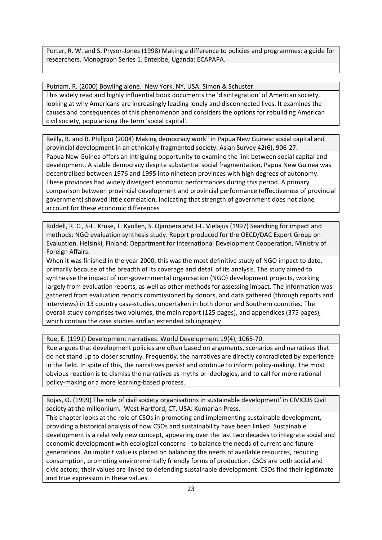Porter, R. W. and S. Prysor‐Jones (1998) Making a difference to policies and programmes: a guide for researchers. Monograph Series 1. Entebbe, Uganda: ECAPAPA.

Putnam, R. (2000) Bowling alone. New York, NY, USA: Simon & Schuster.

This widely read and highly influential book documents the 'disintegration' of American society, looking at why Americans are increasingly leading lonely and disconnected lives. It examines the causes and consequences of this phenomenon and considers the options for rebuilding American civil society, popularising the term 'social capital'.

Reilly, B. and R. Phillpot (2004) Making democracy work" in Papua New Guinea: social capital and provincial development in an ethnically fragmented society. Asian Survey 42(6), 906‐27. Papua New Guinea offers an intriguing opportunity to examine the link between social capital and development. A stable democracy despite substantial social fragmentation, Papua New Guinea was decentralised between 1976 and 1995 into nineteen provinces with high degrees of autonomy. These provinces had widely divergent economic performances during this period. A primary comparison between provincial development and provincial performance (effectiveness of provincial government) showed little correlation, indicating that strength of government does not alone account for these economic differences

Riddell, R. C., S‐E. Kruse, T. Kyollen, S. Ojanpera and J‐L. Vielajus (1997) Searching for impact and methods: NGO evaluation synthesis study. Report produced for the OECD/DAC Expert Group on Evaluation. Helsinki, Finland: Department for International Development Cooperation, Ministry of Foreign Affairs.

When it was finished in the year 2000, this was the most definitive study of NGO impact to date, primarily because of the breadth of its coverage and detail of its analysis. The study aimed to synthesise the impact of non‐governmental organisation (NGO) development projects, working largely from evaluation reports, as well as other methods for assessing impact. The information was gathered from evaluation reports commissioned by donors, and data gathered (through reports and interviews) in 13 country case‐studies, undertaken in both donor and Southern countries. The overall study comprises two volumes, the main report (125 pages), and appendices (375 pages), which contain the case studies and an extended bibliography

Roe, E. (1991) Development narratives. World Development 19(4), 1065‐70.

Roe argues that development policies are often based on arguments, scenarios and narratives that do not stand up to closer scrutiny. Frequently, the narratives are directly contradicted by experience in the field. In spite of this, the narratives persist and continue to inform policy-making. The most obvious reaction is to dismiss the narratives as myths or ideologies, and to call for more rational policy‐making or a more learning‐based process.

Rojas, O. (1999) The role of civil society organisations in sustainable development' in CIVICUS Civil society at the millennium. West Hartford, CT, USA: Kumarian Press.

This chapter looks at the role of CSOs in promoting and implementing sustainable development, providing a historical analysis of how CSOs and sustainability have been linked. Sustainable development is a relatively new concept, appearing over the last two decades to integrate social and economic development with ecological concerns ‐ to balance the needs of current and future generations. An implicit value is placed on balancing the needs of available resources, reducing consumption, promoting environmentally friendly forms of production. CSOs are both social and civic actors; their values are linked to defending sustainable development: CSOs find their legitimate and true expression in these values.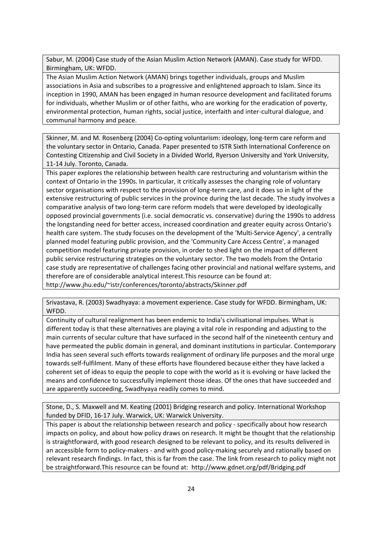Sabur, M. (2004) Case study of the Asian Muslim Action Network (AMAN). Case study for WFDD. Birmingham, UK: WFDD.

The Asian Muslim Action Network (AMAN) brings together individuals, groups and Muslim associations in Asia and subscribes to a progressive and enlightened approach to Islam. Since its inception in 1990, AMAN has been engaged in human resource development and facilitated forums for individuals, whether Muslim or of other faiths, who are working for the eradication of poverty, environmental protection, human rights, social justice, interfaith and inter-cultural dialogue, and communal harmony and peace.

Skinner, M. and M. Rosenberg (2004) Co‐opting voluntarism: ideology, long‐term care reform and the voluntary sector in Ontario, Canada. Paper presented to ISTR Sixth International Conference on Contesting Citizenship and Civil Society in a Divided World, Ryerson University and York University, 11‐14 July. Toronto, Canada.

This paper explores the relationship between health care restructuring and voluntarism within the context of Ontario in the 1990s. In particular, it critically assesses the changing role of voluntary sector organisations with respect to the provision of long-term care, and it does so in light of the extensive restructuring of public services in the province during the last decade. The study involves a comparative analysis of two long‐term care reform models that were developed by ideologically opposed provincial governments (i.e. social democratic vs. conservative) during the 1990s to address the longstanding need for better access, increased coordination and greater equity across Ontario's health care system. The study focuses on the development of the 'Multi-Service Agency', a centrally planned model featuring public provision, and the 'Community Care Access Centre', a managed competition model featuring private provision, in order to shed light on the impact of different public service restructuring strategies on the voluntary sector. The two models from the Ontario case study are representative of challenges facing other provincial and national welfare systems, and therefore are of considerable analytical interest.This resource can be found at: http://www.jhu.edu/~istr/conferences/toronto/abstracts/Skinner.pdf

Srivastava, R. (2003) Swadhyaya: a movement experience. Case study for WFDD. Birmingham, UK: WFDD.

Continuity of cultural realignment has been endemic to India's civilisational impulses. What is different today is that these alternatives are playing a vital role in responding and adjusting to the main currents of secular culture that have surfaced in the second half of the nineteenth century and have permeated the public domain in general, and dominant institutions in particular. Contemporary India has seen several such efforts towards realignment of ordinary life purposes and the moral urge towards self‐fulfilment. Many of these efforts have floundered because either they have lacked a coherent set of ideas to equip the people to cope with the world as it is evolving or have lacked the means and confidence to successfully implement those ideas. Of the ones that have succeeded and are apparently succeeding, Swadhyaya readily comes to mind.

Stone, D., S. Maxwell and M. Keating (2001) Bridging research and policy. International Workshop funded by DFID, 16‐17 July. Warwick, UK: Warwick University.

This paper is about the relationship between research and policy ‐ specifically about how research impacts on policy, and about how policy draws on research. It might be thought that the relationship is straightforward, with good research designed to be relevant to policy, and its results delivered in an accessible form to policy-makers - and with good policy-making securely and rationally based on relevant research findings. In fact, this is far from the case. The link from research to policy might not be straightforward.This resource can be found at: http://www.gdnet.org/pdf/Bridging.pdf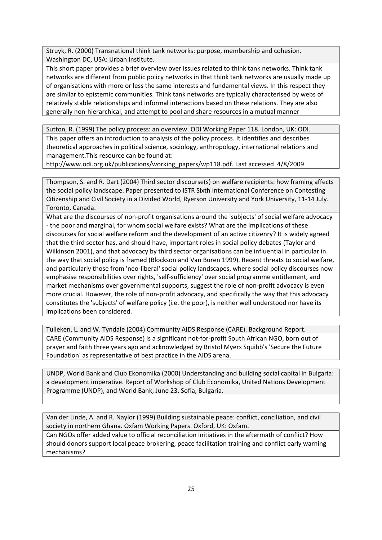Struyk, R. (2000) Transnational think tank networks: purpose, membership and cohesion. Washington DC, USA: Urban Institute.

This short paper provides a brief overview over issues related to think tank networks. Think tank networks are different from public policy networks in that think tank networks are usually made up of organisations with more or less the same interests and fundamental views. In this respect they are similar to epistemic communities. Think tank networks are typically characterised by webs of relatively stable relationships and informal interactions based on these relations. They are also generally non‐hierarchical, and attempt to pool and share resources in a mutual manner

Sutton, R. (1999) The policy process: an overview. ODI Working Paper 118. London, UK: ODI. This paper offers an introduction to analysis of the policy process. It identifies and describes theoretical approaches in political science, sociology, anthropology, international relations and management.This resource can be found at:

http://www.odi.org.uk/publications/working\_papers/wp118.pdf. Last accessed 4/8/2009

Thompson, S. and R. Dart (2004) Third sector discourse(s) on welfare recipients: how framing affects the social policy landscape. Paper presented to ISTR Sixth International Conference on Contesting Citizenship and Civil Society in a Divided World, Ryerson University and York University, 11‐14 July. Toronto, Canada.

What are the discourses of non-profit organisations around the 'subjects' of social welfare advocacy ‐ the poor and marginal, for whom social welfare exists? What are the implications of these discourses for social welfare reform and the development of an active citizenry? It is widely agreed that the third sector has, and should have, important roles in social policy debates (Taylor and Wilkinson 2001), and that advocacy by third sector organisations can be influential in particular in the way that social policy is framed (Blockson and Van Buren 1999). Recent threats to social welfare, and particularly those from 'neo‐liberal' social policy landscapes, where social policy discourses now emphasise responsibilities over rights, 'self-sufficiency' over social programme entitlement, and market mechanisms over governmental supports, suggest the role of non-profit advocacy is even more crucial. However, the role of non-profit advocacy, and specifically the way that this advocacy constitutes the 'subjects' of welfare policy (i.e. the poor), is neither well understood nor have its implications been considered.

Tulleken, L. and W. Tyndale (2004) Community AIDS Response (CARE). Background Report. CARE (Community AIDS Response) is a significant not‐for‐profit South African NGO, born out of prayer and faith three years ago and acknowledged by Bristol Myers Squibb's 'Secure the Future Foundation' as representative of best practice in the AIDS arena.

UNDP, World Bank and Club Ekonomika (2000) Understanding and building social capital in Bulgaria: a development imperative. Report of Workshop of Club Economika, United Nations Development Programme (UNDP), and World Bank, June 23. Sofia, Bulgaria.

Van der Linde, A. and R. Naylor (1999) Building sustainable peace: conflict, conciliation, and civil society in northern Ghana. Oxfam Working Papers. Oxford, UK: Oxfam. Can NGOs offer added value to official reconciliation initiatives in the aftermath of conflict? How should donors support local peace brokering, peace facilitation training and conflict early warning mechanisms?